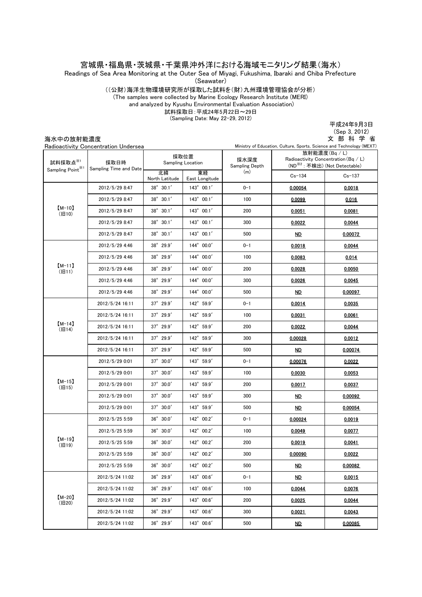宮城県・福島県・茨城県・千葉県沖外洋における海域モニタリング結果(海水)

Readings of Sea Area Monitoring at the Outer Sea of Miyagi, Fukushima, Ibaraki and Chiba Prefecture

(Seawater)

((公財)海洋生物環境研究所が採取した試料を(財)九州環境管理協会が分析)

(The samples were collected by Marine Ecology Research Institute (MERI)

 and analyzed by Kyushu Environmental Evaluation Association) 試料採取日:平成24年5月22日~29日

(Sampling Date: May 22-29, 2012)

平成24年9月3日

| 海水中の放射能濃度                                | Radioactivity Concentration Undersea |                           |                      |                        | Ministry of Education, Culture, Sports, Science and Technology (MEXT)                              | (Sep 3, 2012)<br>文部科学省 |
|------------------------------------------|--------------------------------------|---------------------------|----------------------|------------------------|----------------------------------------------------------------------------------------------------|------------------------|
| 試料採取点※1<br>Sampling Point <sup>361</sup> | 採取日時<br>Sampling Time and Date       | 採取位置<br>Sampling Location |                      | 採水深度<br>Sampling Depth | 放射能濃度(Bq / L)<br>Radioactivity Concentration (Bq / L)<br>(ND <sup>※2</sup> : 不検出) (Not Detectable) |                        |
|                                          |                                      | 北緯<br>North Latitude      | 東経<br>East Longitude | (m)                    | $Cs - 134$                                                                                         | $Cs - 137$             |
| $[M-10]$<br>(H10)                        | 2012/5/29 8:47                       | $38^{\circ}$ 30.1'        | $143^{\circ}$ 00.1'  | $0 - 1$                | 0.00054                                                                                            | 0.0018                 |
|                                          | 2012/5/29 8:47                       | $38^{\circ}$ 30.1'        | $143^{\circ}$ 00.1'  | 100                    | 0.0099                                                                                             | 0.016                  |
|                                          | 2012/5/29 8:47                       | $38^{\circ}$ 30.1'        | $143^{\circ}$ 00.1'  | 200                    | 0.0051                                                                                             | 0.0081                 |
|                                          | 2012/5/29 8:47                       | $38^{\circ}$ 30.1'        | $143^{\circ}$ 00.1'  | 300                    | 0.0022                                                                                             | 0.0044                 |
|                                          | 2012/5/29 8:47                       | $38^{\circ}$ 30.1'        | $143^{\circ}$ 00.1'  | 500                    | <u>ND</u>                                                                                          | 0.00072                |
| $[M-11]$<br>(H11)                        | 2012/5/29 4:46                       | $38^{\circ}$ 29.9'        | 144° 00.0'           | $0 - 1$                | 0.0018                                                                                             | 0.0044                 |
|                                          | 2012/5/29 4:46                       | $38°$ 29.9'               | $144^{\circ} 00.0'$  | 100                    | 0.0083                                                                                             | 0.014                  |
|                                          | 2012/5/29 4:46                       | 38° 29.9'                 | 144° 00.0'           | 200                    | 0.0028                                                                                             | 0.0050                 |
|                                          | 2012/5/29 4:46                       | $38^{\circ}$ 29.9'        | 144° 00.0'           | 300                    | 0.0026                                                                                             | 0.0045                 |
|                                          | 2012/5/29 4:46                       | $38^{\circ}$ 29.9'        | 144° 00.0'           | 500                    | ND.                                                                                                | 0.00097                |
| $[M-14]$<br>(H14)                        | 2012/5/24 16:11                      | $37^{\circ}$ 29.9'        | 142° 59.9'           | $0 - 1$                | 0.0014                                                                                             | 0.0035                 |
|                                          | 2012/5/24 16:11                      | $37^{\circ}$ 29.9'        | $142^{\circ}$ 59.9'  | 100                    | 0.0031                                                                                             | 0.0061                 |
|                                          | 2012/5/24 16:11                      | $37^{\circ}$ 29.9'        | 142° 59.9'           | 200                    | 0.0022                                                                                             | 0.0044                 |
|                                          | 2012/5/24 16:11                      | $37^{\circ}$ 29.9'        | 142° 59.9'           | 300                    | 0.00028                                                                                            | 0.0012                 |
|                                          | 2012/5/24 16:11                      | 37° 29.9'                 | 142° 59.9'           | 500                    | <u>ND</u>                                                                                          | 0.00074                |
| $[M-15]$<br>(旧15)                        | 2012/5/29 0:01                       | $37^\circ$ 30.0'          | $143^{\circ}$ 59.9'  | $0 - 1$                | 0.00076                                                                                            | 0.0022                 |
|                                          | 2012/5/29 0:01                       | $37^\circ$ 30.0'          | $143^{\circ}$ 59.9'  | 100                    | 0.0030                                                                                             | 0.0053                 |
|                                          | 2012/5/29 0:01                       | $37^\circ$ 30.0'          | 143° 59.9'           | 200                    | 0.0017                                                                                             | 0.0037                 |
|                                          | 2012/5/29 0:01                       | $37^\circ$ 30.0'          | 143° 59.9'           | 300                    | <u>ND</u>                                                                                          | 0.00092                |
|                                          | 2012/5/29 0:01                       | $37^\circ$ 30.0'          | 143° 59.9'           | 500                    | <u>ND</u>                                                                                          | 0.00054                |
| $[M-19]$<br>(H19)                        | 2012/5/25 5:59                       | $36^{\circ}$ $30.0'$      | 142° 00.2'           | $0 - 1$                | 0.00024                                                                                            | 0.0019                 |
|                                          | 2012/5/25 5:59                       | 36°30.0'                  | 142° 00.2'           | 100                    | 0.0049                                                                                             | 0.0077                 |
|                                          | 2012/5/25 5:59                       | 36° 30.0'                 | 142° 00.2'           | 200                    | 0.0019                                                                                             | 0.0041                 |
|                                          | 2012/5/25 5:59                       | $36^{\circ}$ $30.0'$      | 142° 00.2'           | 300                    | 0.00090                                                                                            | 0.0022                 |
|                                          | 2012/5/25 5:59                       | $36^{\circ}$ $30.0'$      | $142^{\circ}$ 00.2'  | 500                    | <u>ND</u>                                                                                          | 0.00082                |
| $[M-20]$<br>(H20)                        | 2012/5/24 11:02                      | 36°29.9'                  | 143° 00.6'           | $0 - 1$                | <u>ND</u>                                                                                          | 0.0015                 |
|                                          | 2012/5/24 11:02                      | $36^{\circ}$ 29.9'        | $143^{\circ}$ 00.6'  | 100                    | 0.0044                                                                                             | 0.0076                 |
|                                          | 2012/5/24 11:02                      | $36^{\circ}$ 29.9'        | $143^{\circ}$ 00.6'  | 200                    | 0.0025                                                                                             | 0.0044                 |
|                                          | 2012/5/24 11:02                      | 36° 29.9'                 | 143° 00.6'           | 300                    | 0.0021                                                                                             | 0.0043                 |

500

143°00.6′

36°29.9′

2012/5/24 11:02

ND 0.00085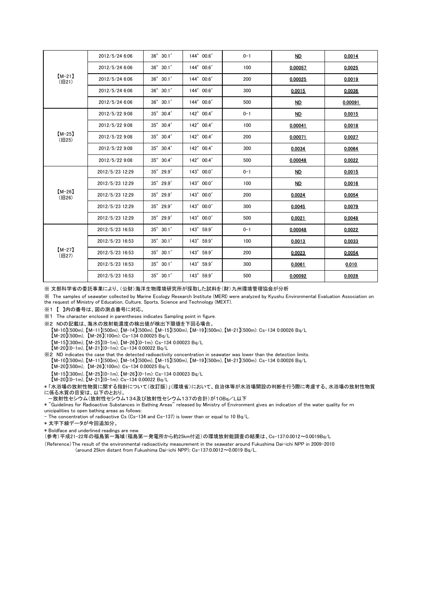| $[M-21]$<br>(旧21) | 2012/5/24 6:06  | $36^{\circ}$ 30.1'   | $144^{\circ} 00.6'$ | $0 - 1$ | ND        | 0.0014  |
|-------------------|-----------------|----------------------|---------------------|---------|-----------|---------|
|                   | 2012/5/24 6:06  | $36^{\circ}$ $30.1'$ | 144° 00.6'          | 100     | 0.00057   | 0.0025  |
|                   | 2012/5/24 6:06  | $36^{\circ}$ 30.1'   | 144° 00.6'          | 200     | 0.00025   | 0.0019  |
|                   | 2012/5/24 6:06  | $36^{\circ}$ 30.1'   | 144° 00.6'          | 300     | 0.0015    | 0.0036  |
|                   | 2012/5/24 6:06  | $36^{\circ}$ 30.1'   | 144° 00.6'          | 500     | ND        | 0.00091 |
| $[M-25]$<br>(旧25) | 2012/5/22 9:08  | 35° 30.4'            | 142° 00.4'          | $0 - 1$ | <b>ND</b> | 0.0015  |
|                   | 2012/5/22 9:08  | 35° 30.4'            | $142^{\circ}$ 00.4' | 100     | 0.00041   | 0.0018  |
|                   | 2012/5/22 9:08  | 35° 30.4'            | 142° 00.4'          | 200     | 0.00071   | 0.0027  |
|                   | 2012/5/22 9:08  | 35° 30.4'            | 142° 00.4'          | 300     | 0.0034    | 0.0064  |
|                   | 2012/5/22 9:08  | 35° 30.4'            | 142° 00.4'          | 500     | 0.00048   | 0.0022  |
| $[M-26]$<br>(旧26) | 2012/5/23 12:29 | $35^{\circ}$ 29.9'   | $143^{\circ}$ 00.0' | $0 - 1$ | ND        | 0.0015  |
|                   | 2012/5/23 12:29 | 35° 29.9'            | 143° 00.0'          | 100     | ND        | 0.0016  |
|                   | 2012/5/23 12:29 | $35^{\circ}$ 29.9'   | 143° 00.0'          | 200     | 0.0024    | 0.0054  |
|                   | 2012/5/23 12:29 | 35° 29.9'            | 143° 00.0'          | 300     | 0.0045    | 0.0079  |
|                   | 2012/5/23 12:29 | $35^{\circ}$ 29.9'   | 143° 00.0'          | 500     | 0.0021    | 0.0048  |
| $[M-27]$<br>(旧27) | 2012/5/23 16:53 | $35^{\circ}$ 30.1'   | 143° 59.9'          | $0 - 1$ | 0.00048   | 0.0022  |
|                   | 2012/5/23 16:53 | $35^{\circ}$ 30.1'   | 143° 59.9'          | 100     | 0.0013    | 0.0033  |
|                   | 2012/5/23 16:53 | $35^{\circ}$ 30.1'   | 143° 59.9'          | 200     | 0.0023    | 0.0054  |
|                   | 2012/5/23 16:53 | $35^{\circ}$ 30.1'   | $143^{\circ}$ 59.9' | 300     | 0.0061    | 0.010   |
|                   | 2012/5/23 16:53 | $35^{\circ}$ 30.1'   | 143° 59.9'          | 500     | 0.00092   | 0.0028  |

※ 文部科学省の委託事業により、(公財)海洋生物環境研究所が採取した試料を(財)九州環境管理協会が分析

※ The samples of seawater collected by Marine Ecology Research Institute (MERI) were analyzed by Kyushu Environmental Evaluation Association on the request of Ministry of Education, Culture, Sports, Science and Technology (MEXT).

※1 【 】内の番号は、図の測点番号に対応。

※1 The character enclosed in parentheses indicates Sampling point in figure.

※2 NDの記載は、海水の放射能濃度の検出値が検出下限値を下回る場合。

 【M-10】(500m), 【M-11】(500m), 【M-14】(500m), 【M-15】(500m), 【M-19】(500m), 【M-21】(500m): Cs-134 0.00026 Bq/L 【M-20】(500m), 【M-26】(100m): Cs-134 0.00025 Bq/L

【M-15】(300m), 【M-25】(0-1m), 【M-26】(0-1m): Cs-134 0.00023 Bq/L

 $[M-20](0-1m)$ ,  $[M-21](0-1m)$ : Cs-134 0.00022 Bq/L

※2 ND indicates the case that the detected radioactivity concentration in seawater was lower than the detection limits.

【M-10】(500m), 【M-11】(500m), 【M-14】(500m), 【M-15】(500m), 【M-19】(500m), 【M-21】(500m): Cs-134 0.00026 Bq/L

【M-20】(500m), 【M-26】(100m): Cs-134 0.00025 Bq/L

【M-15】(300m), 【M-25】(0-1m), 【M-26】(0-1m): Cs-134 0.00023 Bq/L

【M-20】(0-1m), 【M-21】(0-1m): Cs-134 0.00022 Bq/L

\* 「水浴場の放射性物質に関する指針について(改訂版)」(環境省)において、自治体等が水浴場開設の判断を行う際に考慮する、水浴場の放射性物質 に係る水質の目安は、以下のとおり。

-放射性セシウム(放射性セシウム134及び放射性セシウム137の合計)が10Bq/L以下

\* "Guidelines for Radioactive Substances in Bathing Areas" released by Ministry of Environment gives an indication of the water quality for m unicipalities to open bathing areas as follows:

- The concentration of radioactive Cs (Cs-134 and Cs-137) is lower than or equal to 10 Bq/L.

\* 太字下線データが今回追加分。

\* Boldface and underlined readings are new.

(参考)平成21-22年の福島第一海域(福島第一発電所から約25km付近)の環境放射能調査の結果は、Cs-137:0.0012~0.0019Bq/L

(Reference)The result of the environmental radioactivity measurement in the seawater around Fukushima Dai-ichi NPP in 2009-2010 (around 25km distant from Fukushima Dai-ichi NPP); Cs-137:0.0012~0.0019 Bq/L.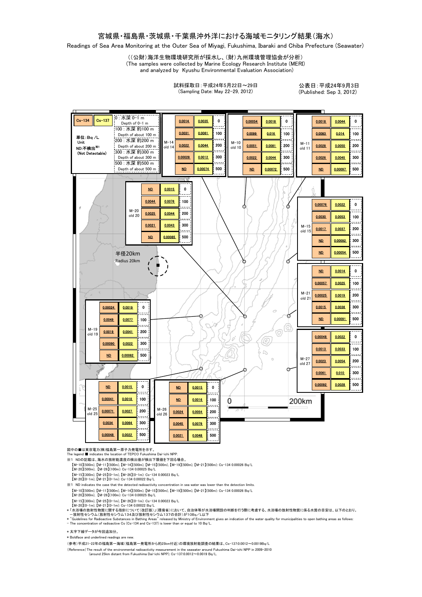## 宮城県・福島県・茨城県・千葉県沖外洋における海域モニタリング結果(海水)

Readings of Sea Area Monitoring at the Outer Sea of Miyagi, Fukushima, Ibaraki and Chiba Prefecture (Seawater)

((公財)海洋生物環境研究所が採水し、(財)九州環境管理協会が分析)

(The samples were collected by Marine Ecology Research Institute (MERI)

and analyzed by Kyushu Environmental Evaluation Association)

試料採取日:平成24年5月22日~29日 (Sampling Date: May 22-29, 2012)

公表日:平成24年9月3日 (Published: Sep 3, 2012)



図中の■は東京電力(株)福島第一原子力発電所を示す。

The legend indicates the location of TEPCO Fukushima Dai-ichi NPP.

※1 NDの記載は、海水の放射能濃度の検出値が検出下限値を下回る場合。

- 【M-10】(500m), 【M-11】(500m), 【M-14】(500m), 【M-15】(500m), 【M-19】(500m), 【M-21】(500m): Cs-134 0.00026 Bq/L 【M-20】(500m), 【M-26】(100m): Cs-134 0.00025 Bq/L
- 
- 【M-15】(300m), 【M-25】(0-1m), 【M-26】(0-1m): Cs-134 0.00023 Bq/L 【M-20】(0-1m), 【M-21】(0-1m): Cs-134 0.00022 Bq/L

 【M-10】(500m), 【M-11】(500m), 【M-14】(500m), 【M-15】(500m), 【M-19】(500m), 【M-21】(500m): Cs-134 0.00026 Bq/L 【M-20】(500m), 【M-26】(100m): Cs-134 0.00025 Bq/L ※1 ND indicates the case that the detected radioactivity concentration in sea water was lower than the detection limits.

【M-15】(300m), 【M-25】(0-1m), 【M-26】(0-1m): Cs-134 0.00023 Bq/L 【M-20】(0-1m), 【M-21】(0-1m): Cs-134 0.00022 Bq/L

\*「水浴場の放射性物質に関する指針について(改訂版)」(環境省)において、自治体等が水浴場開設の判断を行う際に考慮する、水浴場の放射性物質に係る水質の目安は、以下のとおり。<br>- 一放射性セシウム (放射性セシウム 134及び放射性セシウム 137の合計) が10Bq/L以下<br>\* "Guidelines for Radioactive Substances in Bathing Areas" released by Ministry of

\* 太字下線データが今回追加分。

\* Boldface and underlined readings are new.

(参考)平成21-22年の福島第一海域(福島第一発電所から約25km付近)の環境放射能調査の結果は、Cs-137:0.0012~0.0019Bq/L

(Reference)The result of the environmental radioactivity measurement in the seawater around Fukushima Dai-ichi NPP in 2009-2010 (around 25km distant from Fukushima Dai-ichi NPP); Cs-137:0.0012~0.0019 Bq/L.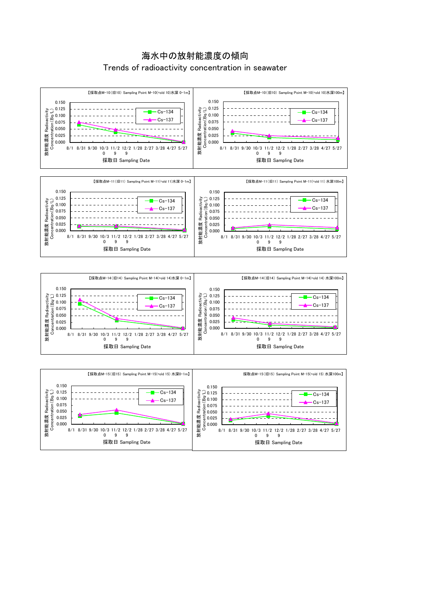





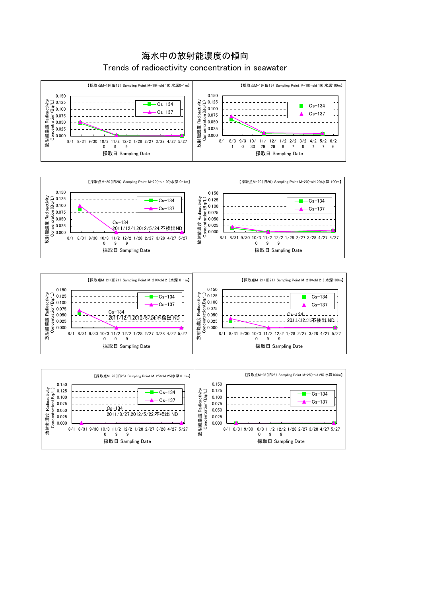